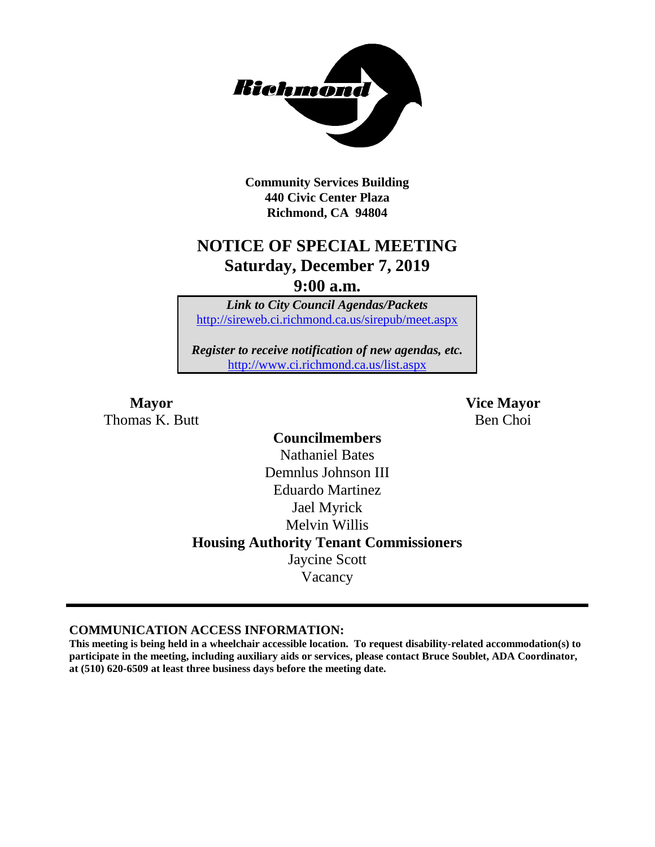

**Community Services Building 440 Civic Center Plaza Richmond, CA 94804**

## **NOTICE OF SPECIAL MEETING Saturday, December 7, 2019**

**9:00 a.m.**

*Link to City Council Agendas/Packets* <http://sireweb.ci.richmond.ca.us/sirepub/meet.aspx>

*Register to receive notification of new agendas, etc.* <http://www.ci.richmond.ca.us/list.aspx>

Thomas K. Butt Ben Choi

**Mayor Vice Mayor**

**Councilmembers** Nathaniel Bates Demnlus Johnson III Eduardo Martinez Jael Myrick Melvin Willis **Housing Authority Tenant Commissioners** Jaycine Scott Vacancy

#### **COMMUNICATION ACCESS INFORMATION:**

**This meeting is being held in a wheelchair accessible location. To request disability-related accommodation(s) to participate in the meeting, including auxiliary aids or services, please contact Bruce Soublet, ADA Coordinator, at (510) 620-6509 at least three business days before the meeting date.**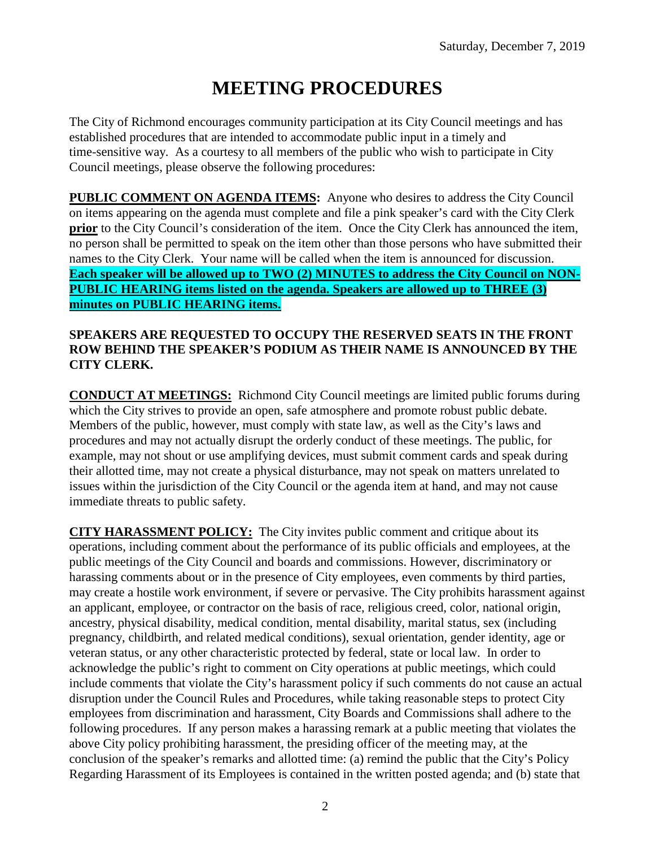# **MEETING PROCEDURES**

The City of Richmond encourages community participation at its City Council meetings and has established procedures that are intended to accommodate public input in a timely and time-sensitive way. As a courtesy to all members of the public who wish to participate in City Council meetings, please observe the following procedures:

**PUBLIC COMMENT ON AGENDA ITEMS:** Anyone who desires to address the City Council on items appearing on the agenda must complete and file a pink speaker's card with the City Clerk **prior** to the City Council's consideration of the item. Once the City Clerk has announced the item, no person shall be permitted to speak on the item other than those persons who have submitted their names to the City Clerk. Your name will be called when the item is announced for discussion. **Each speaker will be allowed up to TWO (2) MINUTES to address the City Council on NON-PUBLIC HEARING items listed on the agenda. Speakers are allowed up to THREE (3) minutes on PUBLIC HEARING items.**

#### **SPEAKERS ARE REQUESTED TO OCCUPY THE RESERVED SEATS IN THE FRONT ROW BEHIND THE SPEAKER'S PODIUM AS THEIR NAME IS ANNOUNCED BY THE CITY CLERK.**

**CONDUCT AT MEETINGS:** Richmond City Council meetings are limited public forums during which the City strives to provide an open, safe atmosphere and promote robust public debate. Members of the public, however, must comply with state law, as well as the City's laws and procedures and may not actually disrupt the orderly conduct of these meetings. The public, for example, may not shout or use amplifying devices, must submit comment cards and speak during their allotted time, may not create a physical disturbance, may not speak on matters unrelated to issues within the jurisdiction of the City Council or the agenda item at hand, and may not cause immediate threats to public safety.

**CITY HARASSMENT POLICY:** The City invites public comment and critique about its operations, including comment about the performance of its public officials and employees, at the public meetings of the City Council and boards and commissions. However, discriminatory or harassing comments about or in the presence of City employees, even comments by third parties, may create a hostile work environment, if severe or pervasive. The City prohibits harassment against an applicant, employee, or contractor on the basis of race, religious creed, color, national origin, ancestry, physical disability, medical condition, mental disability, marital status, sex (including pregnancy, childbirth, and related medical conditions), sexual orientation, gender identity, age or veteran status, or any other characteristic protected by federal, state or local law. In order to acknowledge the public's right to comment on City operations at public meetings, which could include comments that violate the City's harassment policy if such comments do not cause an actual disruption under the Council Rules and Procedures, while taking reasonable steps to protect City employees from discrimination and harassment, City Boards and Commissions shall adhere to the following procedures. If any person makes a harassing remark at a public meeting that violates the above City policy prohibiting harassment, the presiding officer of the meeting may, at the conclusion of the speaker's remarks and allotted time: (a) remind the public that the City's Policy Regarding Harassment of its Employees is contained in the written posted agenda; and (b) state that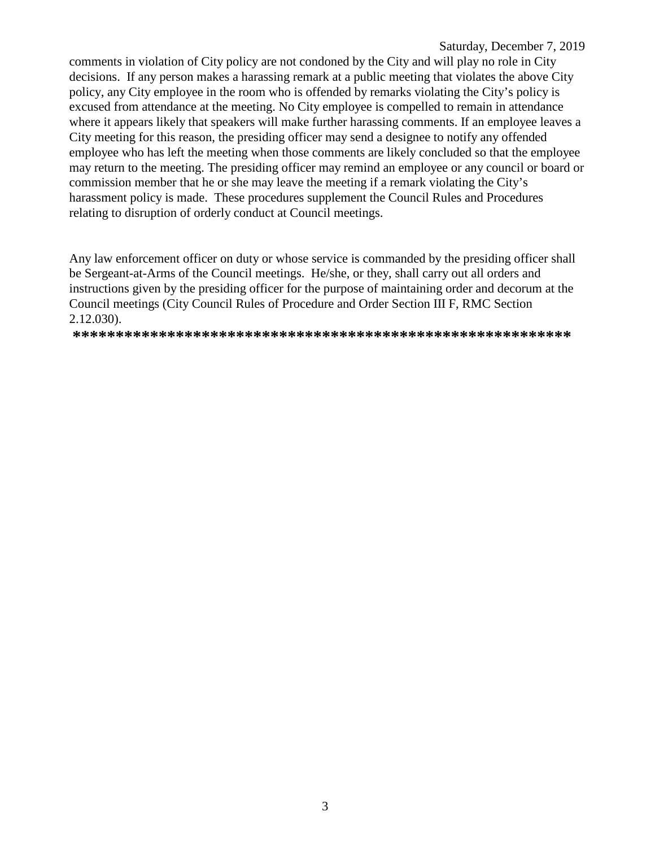#### Saturday, December 7, 2019

comments in violation of City policy are not condoned by the City and will play no role in City decisions. If any person makes a harassing remark at a public meeting that violates the above City policy, any City employee in the room who is offended by remarks violating the City's policy is excused from attendance at the meeting. No City employee is compelled to remain in attendance where it appears likely that speakers will make further harassing comments. If an employee leaves a City meeting for this reason, the presiding officer may send a designee to notify any offended employee who has left the meeting when those comments are likely concluded so that the employee may return to the meeting. The presiding officer may remind an employee or any council or board or commission member that he or she may leave the meeting if a remark violating the City's harassment policy is made. These procedures supplement the Council Rules and Procedures relating to disruption of orderly conduct at Council meetings.

Any law enforcement officer on duty or whose service is commanded by the presiding officer shall be Sergeant-at-Arms of the Council meetings. He/she, or they, shall carry out all orders and instructions given by the presiding officer for the purpose of maintaining order and decorum at the Council meetings (City Council Rules of Procedure and Order Section III F, RMC Section  $2.12.030$ ).